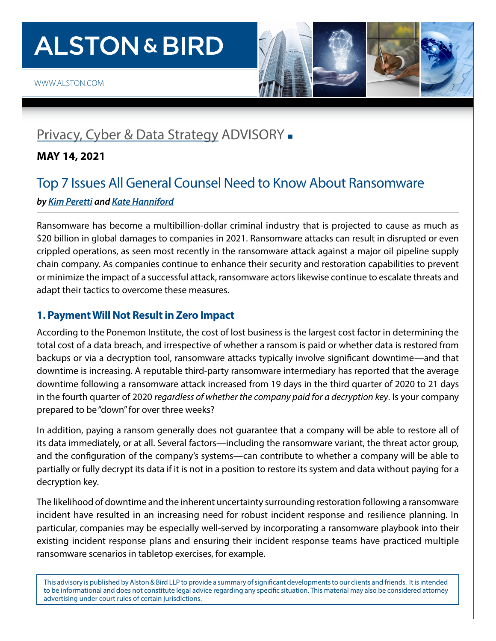# **ALSTON & BIRD**



# [Privacy, Cyber & Data Strategy](https://www.alston.com/en/services/practices/corporate--finance/privacy--data-security) ADVISORY -

### **MAY 14, 2021**

## Top 7 Issues All General Counsel Need to Know About Ransomware *by [Kim Peretti](https://www.alston.com/en/professionals/p/peretti-kimberly-kiefer) and [Kate Hanniford](https://www.alston.com/en/professionals/h/hanniford-katherine)*

Ransomware has become a multibillion-dollar criminal industry that is projected to cause as much as \$20 billion in global damages to companies in 2021. Ransomware attacks can result in disrupted or even crippled operations, as seen most recently in the ransomware attack against a major oil pipeline supply chain company. As companies continue to enhance their security and restoration capabilities to prevent or minimize the impact of a successful attack, ransomware actors likewise continue to escalate threats and adapt their tactics to overcome these measures.

### **1. Payment Will Not Result in Zero Impact**

According to the Ponemon Institute, the cost of lost business is the largest cost factor in determining the total cost of a data breach, and irrespective of whether a ransom is paid or whether data is restored from backups or via a decryption tool, ransomware attacks typically involve significant downtime—and that downtime is increasing. A reputable third-party ransomware intermediary has reported that the average downtime following a ransomware attack increased from 19 days in the third quarter of 2020 to 21 days in the fourth quarter of 2020 *regardless of whether the company paid for a decryption key*. Is your company prepared to be "down" for over three weeks?

In addition, paying a ransom generally does not guarantee that a company will be able to restore all of its data immediately, or at all. Several factors—including the ransomware variant, the threat actor group, and the configuration of the company's systems—can contribute to whether a company will be able to partially or fully decrypt its data if it is not in a position to restore its system and data without paying for a decryption key.

The likelihood of downtime and the inherent uncertainty surrounding restoration following a ransomware incident have resulted in an increasing need for robust incident response and resilience planning. In particular, companies may be especially well-served by incorporating a ransomware playbook into their existing incident response plans and ensuring their incident response teams have practiced multiple ransomware scenarios in tabletop exercises, for example.

This advisory is published by Alston & Bird LLP to provide a summary of significant developments to our clients and friends. It is intended to be informational and does not constitute legal advice regarding any specific situation. This material may also be considered attorney advertising under court rules of certain jurisdictions.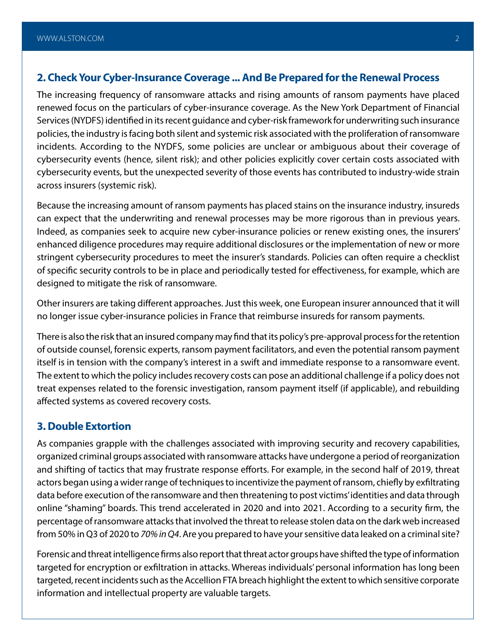### **2. Check Your Cyber-Insurance Coverage ... And Be Prepared for the Renewal Process**

The increasing frequency of ransomware attacks and rising amounts of ransom payments have placed renewed focus on the particulars of cyber-insurance coverage. As the New York Department of Financial Services (NYDFS) identified in its recent guidance and cyber-risk framework for underwriting such insurance policies, the industry is facing both silent and systemic risk associated with the proliferation of ransomware incidents. According to the NYDFS, some policies are unclear or ambiguous about their coverage of cybersecurity events (hence, silent risk); and other policies explicitly cover certain costs associated with cybersecurity events, but the unexpected severity of those events has contributed to industry-wide strain across insurers (systemic risk).

Because the increasing amount of ransom payments has placed stains on the insurance industry, insureds can expect that the underwriting and renewal processes may be more rigorous than in previous years. Indeed, as companies seek to acquire new cyber-insurance policies or renew existing ones, the insurers' enhanced diligence procedures may require additional disclosures or the implementation of new or more stringent cybersecurity procedures to meet the insurer's standards. Policies can often require a checklist of specific security controls to be in place and periodically tested for effectiveness, for example, which are designed to mitigate the risk of ransomware.

Other insurers are taking different approaches. Just this week, one European insurer announced that it will no longer issue cyber-insurance policies in France that reimburse insureds for ransom payments.

There is also the risk that an insured company may find that its policy's pre-approval process for the retention of outside counsel, forensic experts, ransom payment facilitators, and even the potential ransom payment itself is in tension with the company's interest in a swift and immediate response to a ransomware event. The extent to which the policy includes recovery costs can pose an additional challenge if a policy does not treat expenses related to the forensic investigation, ransom payment itself (if applicable), and rebuilding affected systems as covered recovery costs.

### **3. Double Extortion**

As companies grapple with the challenges associated with improving security and recovery capabilities, organized criminal groups associated with ransomware attacks have undergone a period of reorganization and shifting of tactics that may frustrate response efforts. For example, in the second half of 2019, threat actors began using a wider range of techniques to incentivize the payment of ransom, chiefly by exfiltrating data before execution of the ransomware and then threatening to post victims' identities and data through online "shaming" boards. This trend accelerated in 2020 and into 2021. According to a security firm, the percentage of ransomware attacks that involved the threat to release stolen data on the dark web increased from 50% in Q3 of 2020 to *70% in Q4*. Are you prepared to have your sensitive data leaked on a criminal site?

Forensic and threat intelligence firms also report that threat actor groups have shifted the type of information targeted for encryption or exfiltration in attacks. Whereas individuals' personal information has long been targeted, recent incidents such as the Accellion FTA breach highlight the extent to which sensitive corporate information and intellectual property are valuable targets.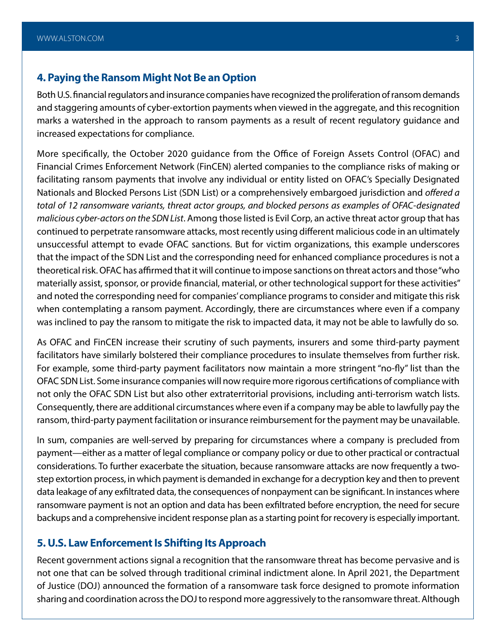### **4. Paying the Ransom Might Not Be an Option**

Both U.S. financial regulators and insurance companies have recognized the proliferation of ransom demands and staggering amounts of cyber-extortion payments when viewed in the aggregate, and this recognition marks a watershed in the approach to ransom payments as a result of recent regulatory guidance and increased expectations for compliance.

More specifically, the October 2020 guidance from the Office of Foreign Assets Control (OFAC) and Financial Crimes Enforcement Network (FinCEN) alerted companies to the compliance risks of making or facilitating ransom payments that involve any individual or entity listed on OFAC's Specially Designated Nationals and Blocked Persons List (SDN List) or a comprehensively embargoed jurisdiction and *offered a total of 12 ransomware variants, threat actor groups, and blocked persons as examples of OFAC-designated malicious cyber-actors on the SDN List*. Among those listed is Evil Corp, an active threat actor group that has continued to perpetrate ransomware attacks, most recently using different malicious code in an ultimately unsuccessful attempt to evade OFAC sanctions. But for victim organizations, this example underscores that the impact of the SDN List and the corresponding need for enhanced compliance procedures is not a theoretical risk. OFAC has affirmed that it will continue to impose sanctions on threat actors and those "who materially assist, sponsor, or provide financial, material, or other technological support for these activities" and noted the corresponding need for companies' compliance programs to consider and mitigate this risk when contemplating a ransom payment. Accordingly, there are circumstances where even if a company was inclined to pay the ransom to mitigate the risk to impacted data, it may not be able to lawfully do so.

As OFAC and FinCEN increase their scrutiny of such payments, insurers and some third-party payment facilitators have similarly bolstered their compliance procedures to insulate themselves from further risk. For example, some third-party payment facilitators now maintain a more stringent "no-fly" list than the OFAC SDN List. Some insurance companies will now require more rigorous certifications of compliance with not only the OFAC SDN List but also other extraterritorial provisions, including anti-terrorism watch lists. Consequently, there are additional circumstances where even if a company may be able to lawfully pay the ransom, third-party payment facilitation or insurance reimbursement for the payment may be unavailable.

In sum, companies are well-served by preparing for circumstances where a company is precluded from payment—either as a matter of legal compliance or company policy or due to other practical or contractual considerations. To further exacerbate the situation, because ransomware attacks are now frequently a twostep extortion process, in which payment is demanded in exchange for a decryption key and then to prevent data leakage of any exfiltrated data, the consequences of nonpayment can be significant. In instances where ransomware payment is not an option and data has been exfiltrated before encryption, the need for secure backups and a comprehensive incident response plan as a starting point for recovery is especially important.

### **5. U.S. Law Enforcement Is Shifting Its Approach**

Recent government actions signal a recognition that the ransomware threat has become pervasive and is not one that can be solved through traditional criminal indictment alone. In April 2021, the Department of Justice (DOJ) announced the formation of a ransomware task force designed to promote information sharing and coordination across the DOJ to respond more aggressively to the ransomware threat. Although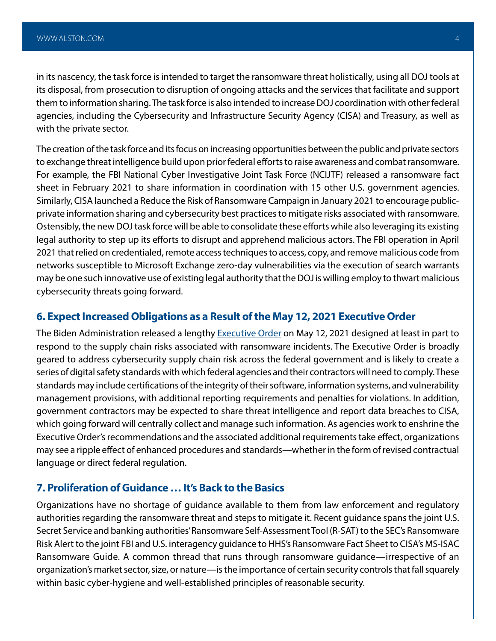in its nascency, the task force is intended to target the ransomware threat holistically, using all DOJ tools at its disposal, from prosecution to disruption of ongoing attacks and the services that facilitate and support them to information sharing. The task force is also intended to increase DOJ coordination with other federal agencies, including the Cybersecurity and Infrastructure Security Agency (CISA) and Treasury, as well as with the private sector.

The creation of the task force and its focus on increasing opportunities between the public and private sectors to exchange threat intelligence build upon prior federal efforts to raise awareness and combat ransomware. For example, the FBI National Cyber Investigative Joint Task Force (NCIJTF) released a ransomware fact sheet in February 2021 to share information in coordination with 15 other U.S. government agencies. Similarly, CISA launched a Reduce the Risk of Ransomware Campaign in January 2021 to encourage publicprivate information sharing and cybersecurity best practices to mitigate risks associated with ransomware. Ostensibly, the new DOJ task force will be able to consolidate these efforts while also leveraging its existing legal authority to step up its efforts to disrupt and apprehend malicious actors. The FBI operation in April 2021 that relied on credentialed, remote access techniques to access, copy, and remove malicious code from networks susceptible to Microsoft Exchange zero-day vulnerabilities via the execution of search warrants may be one such innovative use of existing legal authority that the DOJ is willing employ to thwart malicious cybersecurity threats going forward.

### **6. Expect Increased Obligations as a Result of the May 12, 2021 Executive Order**

The Biden Administration released a lengthy [Executive Order](https://www.alstonprivacy.com/executive-order-details-cybersecurity-changes-for-public-and-private-sector/) on May 12, 2021 designed at least in part to respond to the supply chain risks associated with ransomware incidents. The Executive Order is broadly geared to address cybersecurity supply chain risk across the federal government and is likely to create a series of digital safety standards with which federal agencies and their contractors will need to comply. These standards may include certifications of the integrity of their software, information systems, and vulnerability management provisions, with additional reporting requirements and penalties for violations. In addition, government contractors may be expected to share threat intelligence and report data breaches to CISA, which going forward will centrally collect and manage such information. As agencies work to enshrine the Executive Order's recommendations and the associated additional requirements take effect, organizations may see a ripple effect of enhanced procedures and standards—whether in the form of revised contractual language or direct federal regulation.

### **7. Proliferation of Guidance … It's Back to the Basics**

Organizations have no shortage of guidance available to them from law enforcement and regulatory authorities regarding the ransomware threat and steps to mitigate it. Recent guidance spans the joint U.S. Secret Service and banking authorities' Ransomware Self-Assessment Tool (R-SAT) to the SEC's Ransomware Risk Alert to the joint FBI and U.S. interagency guidance to HHS's Ransomware Fact Sheet to CISA's MS-ISAC Ransomware Guide. A common thread that runs through ransomware guidance—irrespective of an organization's market sector, size, or nature—is the importance of certain security controls that fall squarely within basic cyber-hygiene and well-established principles of reasonable security.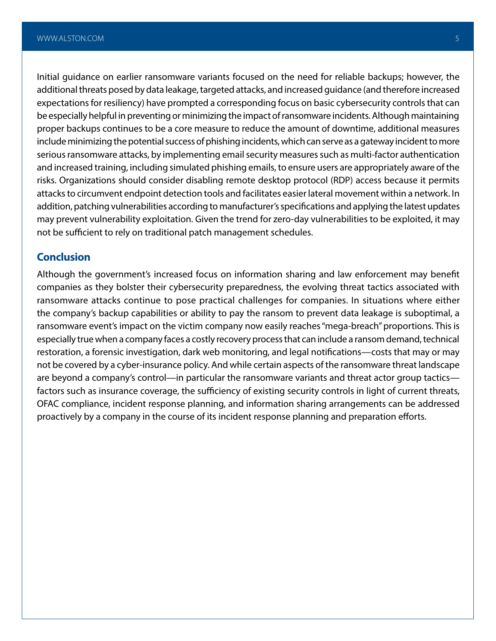Initial guidance on earlier ransomware variants focused on the need for reliable backups; however, the additional threats posed by data leakage, targeted attacks, and increased guidance (and therefore increased expectations for resiliency) have prompted a corresponding focus on basic cybersecurity controls that can be especially helpful in preventing or minimizing the impact of ransomware incidents. Although maintaining proper backups continues to be a core measure to reduce the amount of downtime, additional measures include minimizing the potential success of phishing incidents, which can serve as a gateway incident to more serious ransomware attacks, by implementing email security measures such as multi-factor authentication and increased training, including simulated phishing emails, to ensure users are appropriately aware of the risks. Organizations should consider disabling remote desktop protocol (RDP) access because it permits attacks to circumvent endpoint detection tools and facilitates easier lateral movement within a network. In addition, patching vulnerabilities according to manufacturer's specifications and applying the latest updates may prevent vulnerability exploitation. Given the trend for zero-day vulnerabilities to be exploited, it may not be sufficient to rely on traditional patch management schedules.

### **Conclusion**

Although the government's increased focus on information sharing and law enforcement may benefit companies as they bolster their cybersecurity preparedness, the evolving threat tactics associated with ransomware attacks continue to pose practical challenges for companies. In situations where either the company's backup capabilities or ability to pay the ransom to prevent data leakage is suboptimal, a ransomware event's impact on the victim company now easily reaches "mega-breach" proportions. This is especially true when a company faces a costly recovery process that can include a ransom demand, technical restoration, a forensic investigation, dark web monitoring, and legal notifications—costs that may or may not be covered by a cyber-insurance policy. And while certain aspects of the ransomware threat landscape are beyond a company's control—in particular the ransomware variants and threat actor group tactics factors such as insurance coverage, the sufficiency of existing security controls in light of current threats, OFAC compliance, incident response planning, and information sharing arrangements can be addressed proactively by a company in the course of its incident response planning and preparation efforts.